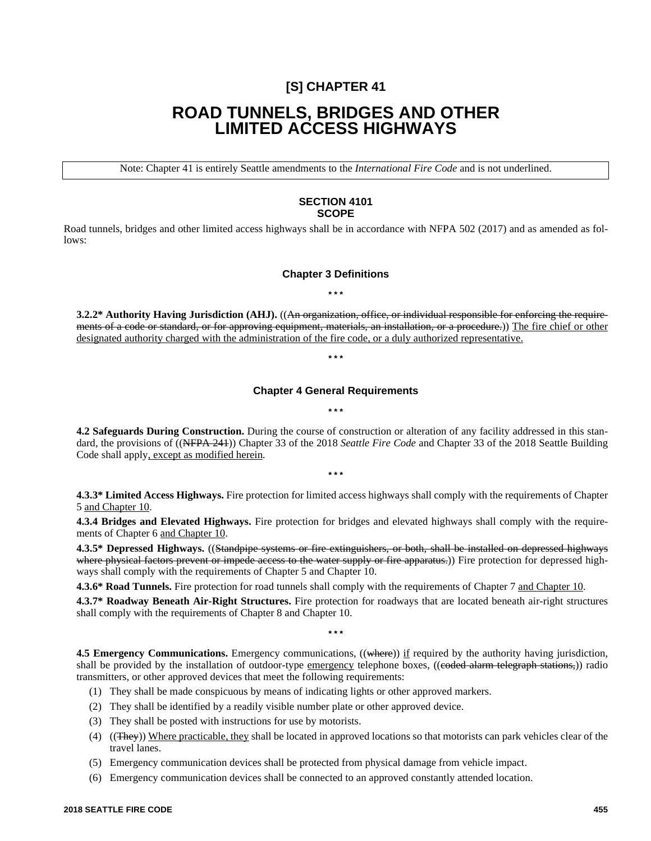## **[S] CHAPTER 41**

# **ROAD TUNNELS, BRIDGES AND OTHER LIMITED ACCESS HIGHWAYS**

Note: Chapter 41 is entirely Seattle amendments to the *International Fire Code* and is not underlined.

## **SECTION 4101 SCOPE**

Road tunnels, bridges and other limited access highways shall be in accordance with NFPA 502 (2017) and as amended as follows:

## **Chapter 3 Definitions**

**\* \* \***

**3.2.2\* Authority Having Jurisdiction (AHJ).** ((An organization, office, or individual responsible for enforcing the requirements of a code or standard, or for approving equipment, materials, an installation, or a procedure.)) The fire chief or other designated authority charged with the administration of the fire code, or a duly authorized representative.

## **Chapter 4 General Requirements \* \* \***

**\* \* \***

**4.2 Safeguards During Construction.** During the course of construction or alteration of any facility addressed in this standard, the provisions of ((NFPA 241)) Chapter 33 of the 2018 *Seattle Fire Code* and Chapter 33 of the 2018 Seattle Building Code shall apply, except as modified herein.

**\* \* \***

**4.3.3\* Limited Access Highways.** Fire protection for limited access highways shall comply with the requirements of Chapter 5 and Chapter 10.

**4.3.4 Bridges and Elevated Highways.** Fire protection for bridges and elevated highways shall comply with the requirements of Chapter 6 and Chapter 10.

**4.3.5\* Depressed Highways.** ((Standpipe systems or fire extinguishers, or both, shall be installed on depressed highways where physical factors prevent or impede access to the water supply or fire apparatus.)) Fire protection for depressed highways shall comply with the requirements of Chapter 5 and Chapter 10.

**4.3.6\* Road Tunnels.** Fire protection for road tunnels shall comply with the requirements of Chapter 7 and Chapter 10.

**4.3.7\* Roadway Beneath Air-Right Structures.** Fire protection for roadways that are located beneath air-right structures shall comply with the requirements of Chapter 8 and Chapter 10.

**4.5 Emergency Communications.** Emergency communications, ((where)) if required by the authority having jurisdiction, shall be provided by the installation of outdoor-type emergency telephone boxes, ((eoded alarm telegraph stations,)) radio transmitters, or other approved devices that meet the following requirements:

- (1) They shall be made conspicuous by means of indicating lights or other approved markers.
- (2) They shall be identified by a readily visible number plate or other approved device.
- (3) They shall be posted with instructions for use by motorists.
- (4) ((They)) Where practicable, they shall be located in approved locations so that motorists can park vehicles clear of the travel lanes.
- (5) Emergency communication devices shall be protected from physical damage from vehicle impact.
- (6) Emergency communication devices shall be connected to an approved constantly attended location.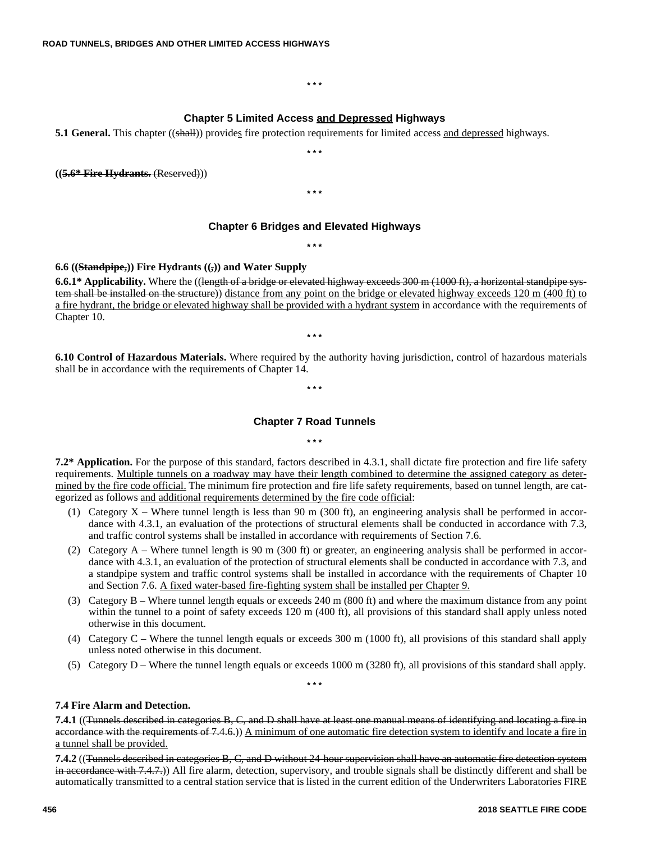#### **\* \* \***

## **Chapter 5 Limited Access and Depressed Highways**

**\* \* \***

**5.1 General.** This chapter ((shall)) provides fire protection requirements for limited access and depressed highways.

**((5.6\* Fire Hydrants.** (Reserved)))

**\* \* \***

## **Chapter 6 Bridges and Elevated Highways**

**\* \* \***

## **6.6 ((Standpipe,)) Fire Hydrants ((,)) and Water Supply**

**6.6.1\*** Applicability. Where the ((length of a bridge or elevated highway exceeds 300 m (1000 ft), a horizontal standpipe system shall be installed on the structure)) distance from any point on the bridge or elevated highway exceeds 120 m (400 ft) to a fire hydrant, the bridge or elevated highway shall be provided with a hydrant system in accordance with the requirements of Chapter 10.

**\* \* \***

**6.10 Control of Hazardous Materials.** Where required by the authority having jurisdiction, control of hazardous materials shall be in accordance with the requirements of Chapter 14.

**\* \* \***

## **Chapter 7 Road Tunnels**

**\* \* \***

**7.2\* Application.** For the purpose of this standard, factors described in 4.3.1, shall dictate fire protection and fire life safety requirements. Multiple tunnels on a roadway may have their length combined to determine the assigned category as determined by the fire code official. The minimum fire protection and fire life safety requirements, based on tunnel length, are categorized as follows and additional requirements determined by the fire code official:

- (1) Category  $X$  Where tunnel length is less than 90 m (300 ft), an engineering analysis shall be performed in accordance with 4.3.1, an evaluation of the protections of structural elements shall be conducted in accordance with 7.3, and traffic control systems shall be installed in accordance with requirements of Section 7.6.
- (2) Category A Where tunnel length is 90 m (300 ft) or greater, an engineering analysis shall be performed in accordance with 4.3.1, an evaluation of the protection of structural elements shall be conducted in accordance with 7.3, and a standpipe system and traffic control systems shall be installed in accordance with the requirements of Chapter 10 and Section 7.6. A fixed water-based fire-fighting system shall be installed per Chapter 9.
- (3) Category B Where tunnel length equals or exceeds 240 m (800 ft) and where the maximum distance from any point within the tunnel to a point of safety exceeds 120 m (400 ft), all provisions of this standard shall apply unless noted otherwise in this document.
- (4) Category C Where the tunnel length equals or exceeds 300 m (1000 ft), all provisions of this standard shall apply unless noted otherwise in this document.
- (5) Category D Where the tunnel length equals or exceeds 1000 m (3280 ft), all provisions of this standard shall apply.

**\* \* \***

## **7.4 Fire Alarm and Detection.**

**7.4.1** ((Tunnels described in categories B, C, and D shall have at least one manual means of identifying and locating a fire in accordance with the requirements of 7.4.6.)) A minimum of one automatic fire detection system to identify and locate a fire in a tunnel shall be provided.

**7.4.2** ((Tunnels described in categories B, C, and D without 24-hour supervision shall have an automatic fire detection system in accordance with 7.4.7.)) All fire alarm, detection, supervisory, and trouble signals shall be distinctly different and shall be automatically transmitted to a central station service that is listed in the current edition of the Underwriters Laboratories FIRE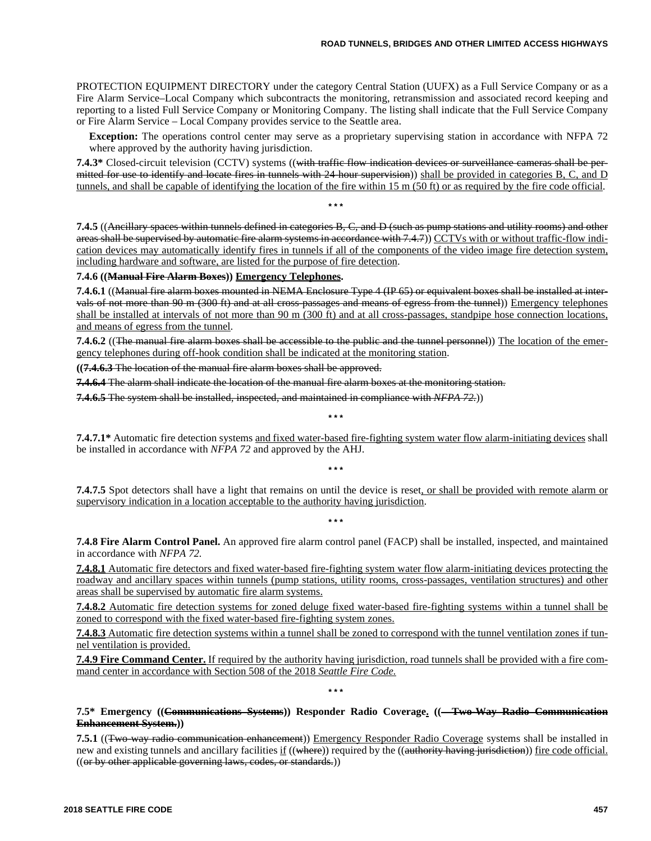PROTECTION EQUIPMENT DIRECTORY under the category Central Station (UUFX) as a Full Service Company or as a Fire Alarm Service–Local Company which subcontracts the monitoring, retransmission and associated record keeping and reporting to a listed Full Service Company or Monitoring Company. The listing shall indicate that the Full Service Company or Fire Alarm Service – Local Company provides service to the Seattle area.

**Exception:** The operations control center may serve as a proprietary supervising station in accordance with NFPA 72 where approved by the authority having jurisdiction.

**7.4.3\*** Closed-circuit television (CCTV) systems ((with traffic flow indication devices or surveillance cameras shall be permitted for use to identify and locate fires in tunnels with  $24$ -hour supervision)) shall be provided in categories B, C, and D tunnels, and shall be capable of identifying the location of the fire within 15 m (50 ft) or as required by the fire code official.

**\* \* \***

**7.4.5** ((Ancillary spaces within tunnels defined in categories B, C, and D (such as pump stations and utility rooms) and other areas shall be supervised by automatic fire alarm systems in accordance with 7.4.7)) CCTVs with or without traffic-flow indication devices may automatically identify fires in tunnels if all of the components of the video image fire detection system, including hardware and software, are listed for the purpose of fire detection.

#### **7.4.6 ((Manual Fire Alarm Boxes)) Emergency Telephones.**

**7.4.6.1** ((Manual fire alarm boxes mounted in NEMA Enclosure Type 4 (IP 65) or equivalent boxes shall be installed at intervals of not more than 90 m (300 ft) and at all cross-passages and means of egress from the tunnel)) Emergency telephones shall be installed at intervals of not more than 90 m (300 ft) and at all cross-passages, standpipe hose connection locations, and means of egress from the tunnel.

**7.4.6.2** ((The manual fire alarm boxes shall be accessible to the public and the tunnel personnel)) The location of the emergency telephones during off-hook condition shall be indicated at the monitoring station.

**((7.4.6.3** The location of the manual fire alarm boxes shall be approved.

**7.4.6.4** The alarm shall indicate the location of the manual fire alarm boxes at the monitoring station.

**7.4.6.5** The system shall be installed, inspected, and maintained in compliance with *NFPA 72.*))

**7.4.7.1\*** Automatic fire detection systems and fixed water-based fire-fighting system water flow alarm-initiating devices shall be installed in accordance with *NFPA 72* and approved by the AHJ.

**\* \* \***

**\* \* \***

**\* \* \***

**7.4.7.5** Spot detectors shall have a light that remains on until the device is reset, or shall be provided with remote alarm or supervisory indication in a location acceptable to the authority having jurisdiction.

**7.4.8 Fire Alarm Control Panel.** An approved fire alarm control panel (FACP) shall be installed, inspected, and maintained in accordance with *NFPA 72.*

**7.4.8.1** Automatic fire detectors and fixed water-based fire-fighting system water flow alarm-initiating devices protecting the roadway and ancillary spaces within tunnels (pump stations, utility rooms, cross-passages, ventilation structures) and other areas shall be supervised by automatic fire alarm systems.

**7.4.8.2** Automatic fire detection systems for zoned deluge fixed water-based fire-fighting systems within a tunnel shall be zoned to correspond with the fixed water-based fire-fighting system zones.

**7.4.8.3** Automatic fire detection systems within a tunnel shall be zoned to correspond with the tunnel ventilation zones if tunnel ventilation is provided.

**7.4.9 Fire Command Center.** If required by the authority having jurisdiction, road tunnels shall be provided with a fire command center in accordance with Section 508 of the 2018 *Seattle Fire Code.*

**\* \* \***

## **7.5\* Emergency ((Communications Systems)) Responder Radio Coverage. ((—Two-Way Radio Communication Enhancement System.))**

**7.5.1** ((Two-way radio communication enhancement)) Emergency Responder Radio Coverage systems shall be installed in new and existing tunnels and ancillary facilities if ((where)) required by the ((authority having jurisdiction)) fire code official. ((or by other applicable governing laws, codes, or standards.))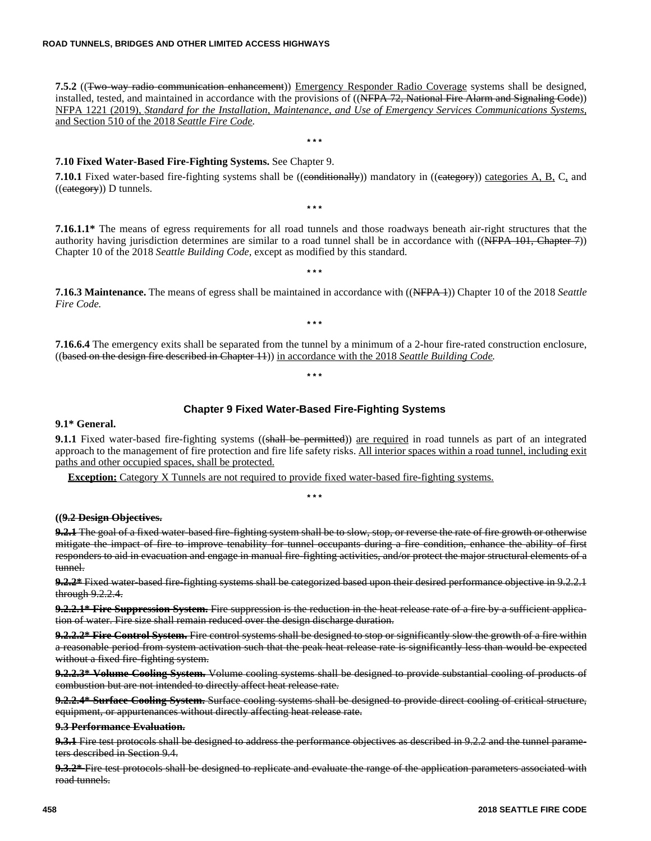**7.5.2** ((Two-way radio communication enhancement)) Emergency Responder Radio Coverage systems shall be designed, installed, tested, and maintained in accordance with the provisions of ((NFPA 72, National Fire Alarm and Signaling Code)) NFPA 1221 (2019), *Standard for the Installation, Maintenance, and Use of Emergency Services Communications Systems,* and Section 510 of the 2018 *Seattle Fire Code.*

**\* \* \***

## **7.10 Fixed Water-Based Fire-Fighting Systems.** See Chapter 9.

**7.10.1** Fixed water-based fire-fighting systems shall be ((eonditionally)) mandatory in ((eategory)) categories A, B, C, and  $((e<sub>category</sub>))$  D tunnels.

**\* \* \***

**7.16.1.1\*** The means of egress requirements for all road tunnels and those roadways beneath air-right structures that the authority having jurisdiction determines are similar to a road tunnel shall be in accordance with  $((\text{NFPA 101}, \text{Chapter 7}))$ Chapter 10 of the 2018 *Seattle Building Code,* except as modified by this standard.

**7.16.3 Maintenance.** The means of egress shall be maintained in accordance with ((NFPA 1)) Chapter 10 of the 2018 *Seattle Fire Code.*

**\* \* \***

**\* \* \***

**\* \* \***

**7.16.6.4** The emergency exits shall be separated from the tunnel by a minimum of a 2-hour fire-rated construction enclosure, ((based on the design fire described in Chapter 11)) in accordance with the 2018 *Seattle Building Code.*

## **Chapter 9 Fixed Water-Based Fire-Fighting Systems**

#### **9.1\* General.**

**9.1.1** Fixed water-based fire-fighting systems ((shall be permitted)) are required in road tunnels as part of an integrated approach to the management of fire protection and fire life safety risks. All interior spaces within a road tunnel, including exit paths and other occupied spaces, shall be protected.

**Exception:** Category X Tunnels are not required to provide fixed water-based fire-fighting systems.

**\* \* \***

#### **((9.2 Design Objectives.**

**9.2.1** The goal of a fixed water-based fire-fighting system shall be to slow, stop, or reverse the rate of fire growth or otherwise mitigate the impact of fire to improve tenability for tunnel occupants during a fire condition, enhance the ability of first responders to aid in evacuation and engage in manual fire-fighting activities, and/or protect the major structural elements of a tunnel.

**9.2.2\*** Fixed water-based fire-fighting systems shall be categorized based upon their desired performance objective in 9.2.2.1 through 9.2.2.4.

**9.2.2.1\* Fire Suppression System.** Fire suppression is the reduction in the heat release rate of a fire by a sufficient application of water. Fire size shall remain reduced over the design discharge duration.

**9.2.2.2\* Fire Control System.** Fire control systems shall be designed to stop or significantly slow the growth of a fire within a reasonable period from system activation such that the peak heat release rate is significantly less than would be expected without a fixed fire-fighting system.

**9.2.2.3\* Volume Cooling System.** Volume cooling systems shall be designed to provide substantial cooling of products of combustion but are not intended to directly affect heat release rate.

**9.2.2.4\* Surface Cooling System.** Surface cooling systems shall be designed to provide direct cooling of critical structure, equipment, or appurtenances without directly affecting heat release rate.

#### **9.3 Performance Evaluation.**

**9.3.1** Fire test protocols shall be designed to address the performance objectives as described in 9.2.2 and the tunnel parameters described in Section 9.4.

**9.3.2\*** Fire test protocols shall be designed to replicate and evaluate the range of the application parameters associated with road tunnels.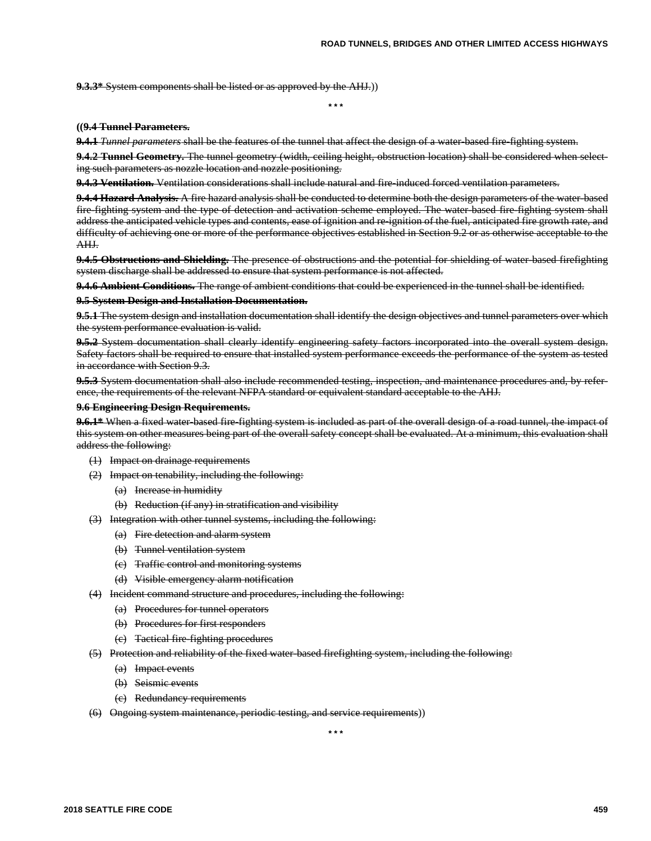**9.3.3\*** System components shall be listed or as approved by the AHJ.))

**\* \* \***

#### **((9.4 Tunnel Parameters.**

**9.4.1** *Tunnel parameters* shall be the features of the tunnel that affect the design of a water-based fire-fighting system.

**9.4.2 Tunnel Geometry.** The tunnel geometry (width, ceiling height, obstruction location) shall be considered when selecting such parameters as nozzle location and nozzle positioning.

9.4.3 Ventilation. Ventilation considerations shall include natural and fire-induced forced ventilation parameters.

**9.4.4 Hazard Analysis.** A fire hazard analysis shall be conducted to determine both the design parameters of the water-based fire-fighting system and the type of detection and activation scheme employed. The water-based fire-fighting system shall address the anticipated vehicle types and contents, ease of ignition and re-ignition of the fuel, anticipated fire growth rate, and difficulty of achieving one or more of the performance objectives established in Section 9.2 or as otherwise acceptable to the AHJ.

9.4.5 Obstructions and Shielding. The presence of obstructions and the potential for shielding of water-based firefighting system discharge shall be addressed to ensure that system performance is not affected.

**9.4.6 Ambient Conditions.** The range of ambient conditions that could be experienced in the tunnel shall be identified.

## **9.5 System Design and Installation Documentation.**

**9.5.1** The system design and installation documentation shall identify the design objectives and tunnel parameters over which the system performance evaluation is valid.

**9.5.2** System documentation shall clearly identify engineering safety factors incorporated into the overall system design. Safety factors shall be required to ensure that installed system performance exceeds the performance of the system as tested in accordance with Section 9.3.

**9.5.3** System documentation shall also include recommended testing, inspection, and maintenance procedures and, by reference, the requirements of the relevant NFPA standard or equivalent standard acceptable to the AHJ.

#### **9.6 Engineering Design Requirements.**

**9.6.1\*** When a fixed water-based fire-fighting system is included as part of the overall design of a road tunnel, the impact of this system on other measures being part of the overall safety concept shall be evaluated. At a minimum, this evaluation shall address the following:

- (1) Impact on drainage requirements
- (2) Impact on tenability, including the following:
	- (a) Increase in humidity
	- (b) Reduction (if any) in stratification and visibility
- (3) Integration with other tunnel systems, including the following:
	- (a) Fire detection and alarm system
	- (b) Tunnel ventilation system
	- (c) Traffic control and monitoring systems
	- (d) Visible emergency alarm notification
- (4) Incident command structure and procedures, including the following:
	- (a) Procedures for tunnel operators
	- (b) Procedures for first responders
	- (c) Tactical fire-fighting procedures
- (5) Protection and reliability of the fixed water-based firefighting system, including the following:
	- (a) Impact events
	- (b) Seismic events
	- (c) Redundancy requirements
- (6) Ongoing system maintenance, periodic testing, and service requirements))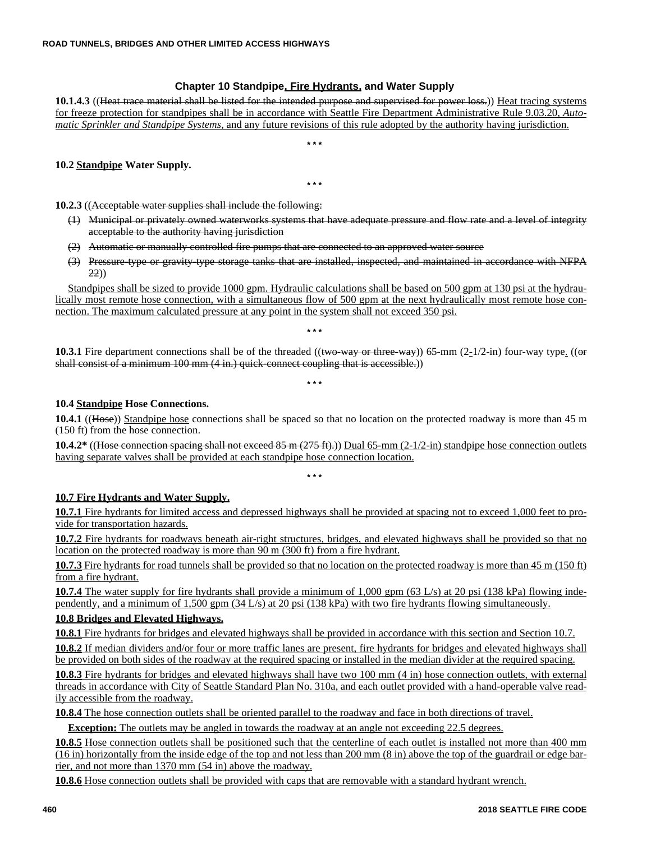## **Chapter 10 Standpipe, Fire Hydrants, and Water Supply**

**10.1.4.3** ((Heat trace material shall be listed for the intended purpose and supervised for power loss.)) Heat tracing systems for freeze protection for standpipes shall be in accordance with Seattle Fire Department Administrative Rule 9.03.20, *Automatic Sprinkler and Standpipe Systems,* and any future revisions of this rule adopted by the authority having jurisdiction.

**\* \* \***

## **10.2 Standpipe Water Supply.**

**\* \* \***

**10.2.3** ((Acceptable water supplies shall include the following:

- (1) Municipal or privately owned waterworks systems that have adequate pressure and flow rate and a level of integrity acceptable to the authority having jurisdiction
- $(2)$  Automatic or manually controlled fire pumps that are connected to an approved water source
- (3) Pressure-type or gravity-type storage tanks that are installed, inspected, and maintained in accordance with NFPA 22))

Standpipes shall be sized to provide 1000 gpm. Hydraulic calculations shall be based on 500 gpm at 130 psi at the hydraulically most remote hose connection, with a simultaneous flow of 500 gpm at the next hydraulically most remote hose connection. The maximum calculated pressure at any point in the system shall not exceed 350 psi.

**10.3.1** Fire department connections shall be of the threaded ((two way or three way)) 65-mm (2-1/2-in) four-way type. ((or shall consist of a minimum 100 mm (4 in.) quick-connect coupling that is accessible.))

**\* \* \***

**\* \* \***

## **10.4 Standpipe Hose Connections.**

**10.4.1** ((Hose)) Standpipe hose connections shall be spaced so that no location on the protected roadway is more than 45 m (150 ft) from the hose connection.

**10.4.2\*** ((Hose connection spacing shall not exceed 85 m (275 ft).)) Dual 65-mm (2-1/2-in) standpipe hose connection outlets having separate valves shall be provided at each standpipe hose connection location.

**\* \* \***

## **10.7 Fire Hydrants and Water Supply.**

**10.7.1** Fire hydrants for limited access and depressed highways shall be provided at spacing not to exceed 1,000 feet to provide for transportation hazards.

**10.7.2** Fire hydrants for roadways beneath air-right structures, bridges, and elevated highways shall be provided so that no location on the protected roadway is more than 90 m (300 ft) from a fire hydrant.

**10.7.3** Fire hydrants for road tunnels shall be provided so that no location on the protected roadway is more than 45 m (150 ft) from a fire hydrant.

**10.7.4** The water supply for fire hydrants shall provide a minimum of 1,000 gpm (63 L/s) at 20 psi (138 kPa) flowing independently, and a minimum of 1,500 gpm (34 L/s) at 20 psi (138 kPa) with two fire hydrants flowing simultaneously.

## **10.8 Bridges and Elevated Highways.**

**10.8.1** Fire hydrants for bridges and elevated highways shall be provided in accordance with this section and Section 10.7.

**10.8.2** If median dividers and/or four or more traffic lanes are present, fire hydrants for bridges and elevated highways shall be provided on both sides of the roadway at the required spacing or installed in the median divider at the required spacing.

**10.8.3** Fire hydrants for bridges and elevated highways shall have two 100 mm (4 in) hose connection outlets, with external threads in accordance with City of Seattle Standard Plan No. 310a, and each outlet provided with a hand-operable valve readily accessible from the roadway.

**10.8.4** The hose connection outlets shall be oriented parallel to the roadway and face in both directions of travel.

**Exception:** The outlets may be angled in towards the roadway at an angle not exceeding 22.5 degrees.

**10.8.5** Hose connection outlets shall be positioned such that the centerline of each outlet is installed not more than 400 mm (16 in) horizontally from the inside edge of the top and not less than 200 mm (8 in) above the top of the guardrail or edge barrier, and not more than 1370 mm (54 in) above the roadway.

**10.8.6** Hose connection outlets shall be provided with caps that are removable with a standard hydrant wrench.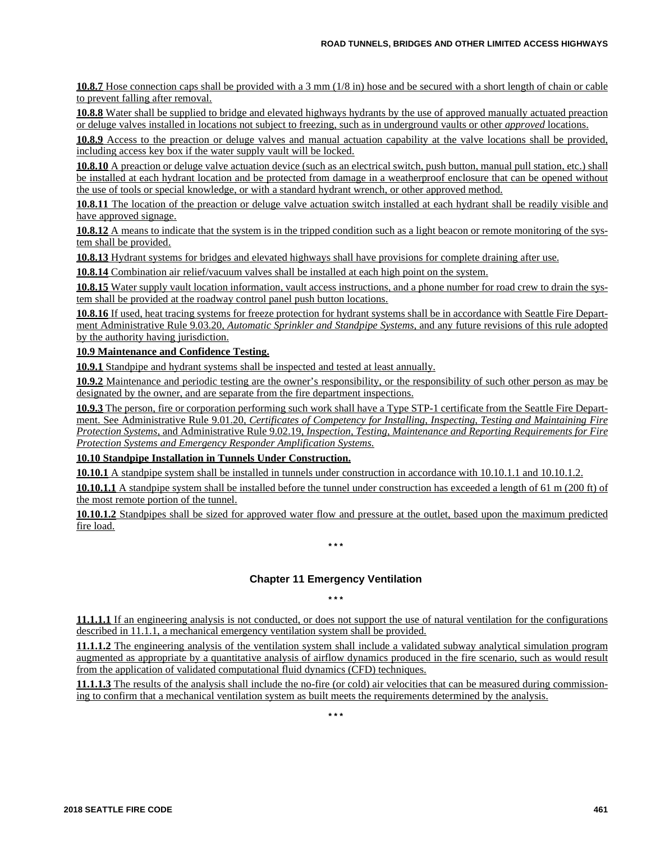**10.8.7** Hose connection caps shall be provided with a 3 mm (1/8 in) hose and be secured with a short length of chain or cable to prevent falling after removal.

**10.8.8** Water shall be supplied to bridge and elevated highways hydrants by the use of approved manually actuated preaction or deluge valves installed in locations not subject to freezing, such as in underground vaults or other *approved* locations.

**10.8.9** Access to the preaction or deluge valves and manual actuation capability at the valve locations shall be provided, including access key box if the water supply vault will be locked.

**10.8.10** A preaction or deluge valve actuation device (such as an electrical switch, push button, manual pull station, etc.) shall be installed at each hydrant location and be protected from damage in a weatherproof enclosure that can be opened without the use of tools or special knowledge, or with a standard hydrant wrench, or other approved method.

**10.8.11** The location of the preaction or deluge valve actuation switch installed at each hydrant shall be readily visible and have approved signage.

**10.8.12** A means to indicate that the system is in the tripped condition such as a light beacon or remote monitoring of the system shall be provided.

**10.8.13** Hydrant systems for bridges and elevated highways shall have provisions for complete draining after use.

**10.8.14** Combination air relief/vacuum valves shall be installed at each high point on the system.

**10.8.15** Water supply vault location information, vault access instructions, and a phone number for road crew to drain the system shall be provided at the roadway control panel push button locations.

**10.8.16** If used, heat tracing systems for freeze protection for hydrant systems shall be in accordance with Seattle Fire Department Administrative Rule 9.03.20, *Automatic Sprinkler and Standpipe Systems,* and any future revisions of this rule adopted by the authority having jurisdiction.

## **10.9 Maintenance and Confidence Testing.**

**10.9.1** Standpipe and hydrant systems shall be inspected and tested at least annually.

**10.9.2** Maintenance and periodic testing are the owner's responsibility, or the responsibility of such other person as may be designated by the owner, and are separate from the fire department inspections.

**10.9.3** The person, fire or corporation performing such work shall have a Type STP-1 certificate from the Seattle Fire Department. See Administrative Rule 9.01.20, *Certificates of Competency for Installing, Inspecting, Testing and Maintaining Fire Protection Systems,* and Administrative Rule 9.02.19, *Inspection, Testing, Maintenance and Reporting Requirements for Fire Protection Systems and Emergency Responder Amplification Systems.*

## **10.10 Standpipe Installation in Tunnels Under Construction.**

**10.10.1** A standpipe system shall be installed in tunnels under construction in accordance with 10.10.1.1 and 10.10.1.2.

**10.10.1.1** A standpipe system shall be installed before the tunnel under construction has exceeded a length of 61 m (200 ft) of the most remote portion of the tunnel.

**10.10.1.2** Standpipes shall be sized for approved water flow and pressure at the outlet, based upon the maximum predicted fire load.

## **Chapter 11 Emergency Ventilation**

**\* \* \***

**\* \* \***

**11.1.1.1** If an engineering analysis is not conducted, or does not support the use of natural ventilation for the configurations described in 11.1.1, a mechanical emergency ventilation system shall be provided.

**11.1.1.2** The engineering analysis of the ventilation system shall include a validated subway analytical simulation program augmented as appropriate by a quantitative analysis of airflow dynamics produced in the fire scenario, such as would result from the application of validated computational fluid dynamics (CFD) techniques.

**11.1.1.3** The results of the analysis shall include the no-fire (or cold) air velocities that can be measured during commissioning to confirm that a mechanical ventilation system as built meets the requirements determined by the analysis.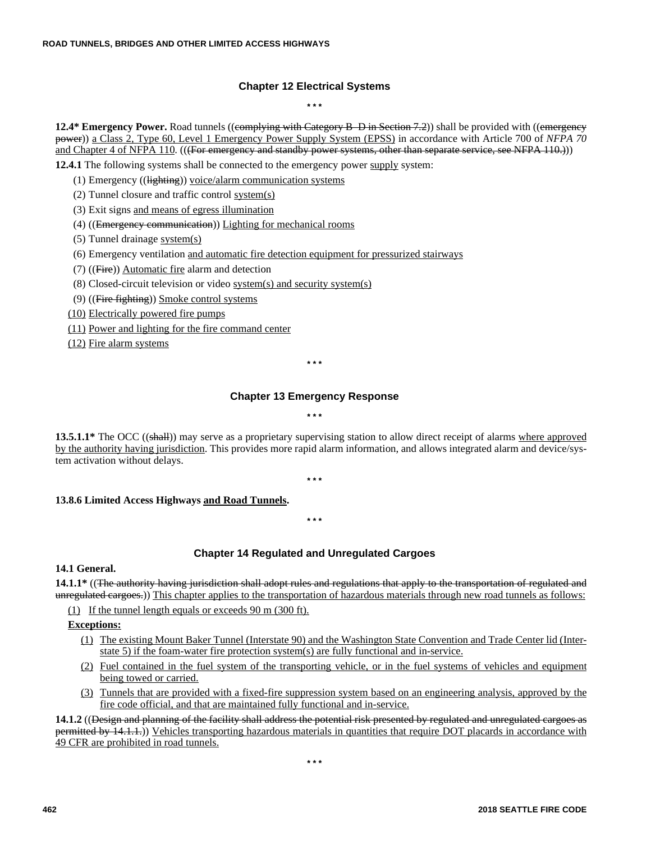## **Chapter 12 Electrical Systems**

**\* \* \***

**12.4\* Emergency Power.** Road tunnels ((complying with Category B–D in Section 7.2)) shall be provided with ((emergency power)) a Class 2, Type 60, Level 1 Emergency Power Supply System (EPSS) in accordance with Article 700 of *NFPA 70* and Chapter 4 of NFPA 110. (((For emergency and standby power systems, other than separate service, see NFPA 110.)))

**12.4.1** The following systems shall be connected to the emergency power supply system:

- (1) Emergency ((lighting)) voice/alarm communication systems
- (2) Tunnel closure and traffic control system(s)
- (3) Exit signs and means of egress illumination
- (4) ((Emergency communication)) Lighting for mechanical rooms
- (5) Tunnel drainage system(s)
- (6) Emergency ventilation and automatic fire detection equipment for pressurized stairways
- (7) ((Fire)) Automatic fire alarm and detection
- (8) Closed-circuit television or video system(s) and security system(s)
- $(9)$  ((Fire fighting)) Smoke control systems
- (10) Electrically powered fire pumps
- (11) Power and lighting for the fire command center
- (12) Fire alarm systems

**\* \* \***

## **Chapter 13 Emergency Response**

#### **\* \* \***

**13.5.1.1\*** The OCC ((shall)) may serve as a proprietary supervising station to allow direct receipt of alarms where approved by the authority having jurisdiction. This provides more rapid alarm information, and allows integrated alarm and device/system activation without delays.

**\* \* \***

#### **13.8.6 Limited Access Highways and Road Tunnels.**

**\* \* \***

## **Chapter 14 Regulated and Unregulated Cargoes**

## **14.1 General.**

**14.1.1\*** ((The authority having jurisdiction shall adopt rules and regulations that apply to the transportation of regulated and unregulated cargoes.)) This chapter applies to the transportation of hazardous materials through new road tunnels as follows:

(1) If the tunnel length equals or exceeds 90 m (300 ft).

## **Exceptions:**

- (1) The existing Mount Baker Tunnel (Interstate 90) and the Washington State Convention and Trade Center lid (Interstate 5) if the foam-water fire protection system(s) are fully functional and in-service.
- (2) Fuel contained in the fuel system of the transporting vehicle, or in the fuel systems of vehicles and equipment being towed or carried.
- (3) Tunnels that are provided with a fixed-fire suppression system based on an engineering analysis, approved by the fire code official, and that are maintained fully functional and in-service.

**14.1.2** ((Design and planning of the facility shall address the potential risk presented by regulated and unregulated cargoes as permitted by 14.1.1.)) Vehicles transporting hazardous materials in quantities that require DOT placards in accordance with 49 CFR are prohibited in road tunnels.